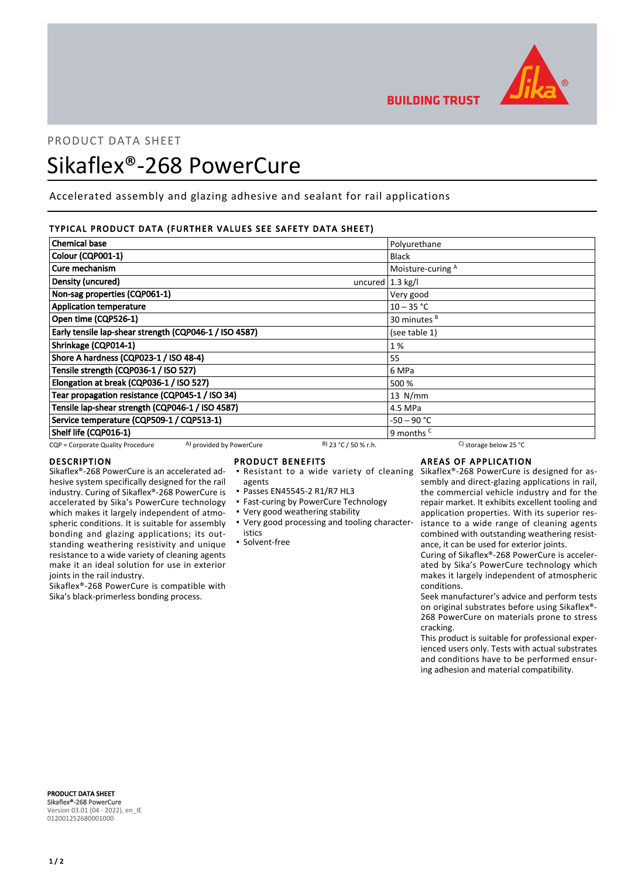

**BUILDING TRUST** 

# PRODUCT DATA SHEET

# Sikaflex®-268 PowerCure

Accelerated assembly and glazing adhesive and sealant for rail applications

# TYPICAL PRODUCT DATA (FURTHER VALUES SEE SAFETY DATA SHEET)

| <b>Chemical base</b>                                          |                        | Polyurethane                                 |
|---------------------------------------------------------------|------------------------|----------------------------------------------|
| Colour (CQP001-1)                                             |                        | <b>Black</b>                                 |
| Cure mechanism                                                |                        | Moisture-curing A                            |
| Density (uncured)                                             | uncured $1.3$ kg/l     |                                              |
| Non-sag properties (CQP061-1)                                 |                        | Very good                                    |
| <b>Application temperature</b>                                |                        | $10 - 35 °C$                                 |
| Open time (CQP526-1)                                          |                        | 30 minutes <sup>B</sup>                      |
| Early tensile lap-shear strength (CQP046-1 / ISO 4587)        |                        | (see table 1)                                |
| Shrinkage (CQP014-1)                                          |                        | 1%                                           |
| Shore A hardness (CQP023-1 / ISO 48-4)                        |                        | 55                                           |
| Tensile strength (CQP036-1 / ISO 527)                         |                        | 6 MPa                                        |
| Elongation at break (CQP036-1 / ISO 527)                      |                        | 500 %                                        |
| Tear propagation resistance (CQP045-1 / ISO 34)               |                        | $13$ N/mm                                    |
| Tensile lap-shear strength (CQP046-1 / ISO 4587)              |                        | 4.5 MPa                                      |
| Service temperature (CQP509-1 / CQP513-1)                     |                        | -50 – 90 °C                                  |
| Shelf life (CQP016-1)                                         |                        | 9 months <sup>c</sup>                        |
| A) provided by PowerCure<br>CQP = Corporate Quality Procedure | $B)$ 23 °C / 50 % r.h. | <sup>C</sup> ) storage below 25 $^{\circ}$ C |

## DESCRIPTION

Sikaflex®-268 PowerCure is an accelerated adhesive system specifically designed for the rail industry. Curing of Sikaflex®-268 PowerCure is accelerated by Sika's PowerCure technology which makes it largely independent of atmospheric conditions. It is suitable for assembly bonding and glazing applications; its outstanding weathering resistivity and unique resistance to a wide variety of cleaning agents make it an ideal solution for use in exterior joints in the rail industry.

Sikaflex®-268 PowerCure is compatible with Sika's black-primerless bonding process.

## PRODUCT BENEFITS

- **Resistant to a wide variety of cleaning**
- agents
- Passes EN45545-2 R1/R7 HL3
- **East-curing by PowerCure Technology**
- Very good weathering stability
- Very good processing and tooling character-▪ istics
- Solvent-free

# AREAS OF APPLICATION

Sikaflex®-268 PowerCure is designed for assembly and direct-glazing applications in rail, the commercial vehicle industry and for the repair market. It exhibits excellent tooling and application properties. With its superior resistance to a wide range of cleaning agents combined with outstanding weathering resistance, it can be used for exterior joints.

Curing of Sikaflex®-268 PowerCure is accelerated by Sika's PowerCure technology which makes it largely independent of atmospheric conditions.

Seek manufacturer's advice and perform tests on original substrates before using Sikaflex®- 268 PowerCure on materials prone to stress cracking.

This product is suitable for professional experienced users only. Tests with actual substrates and conditions have to be performed ensuring adhesion and material compatibility.

PRODUCT DATA SHEET Sikaflex®-268 PowerCure Version 03.01 (04 - 2022), en\_IE 012001252680001000